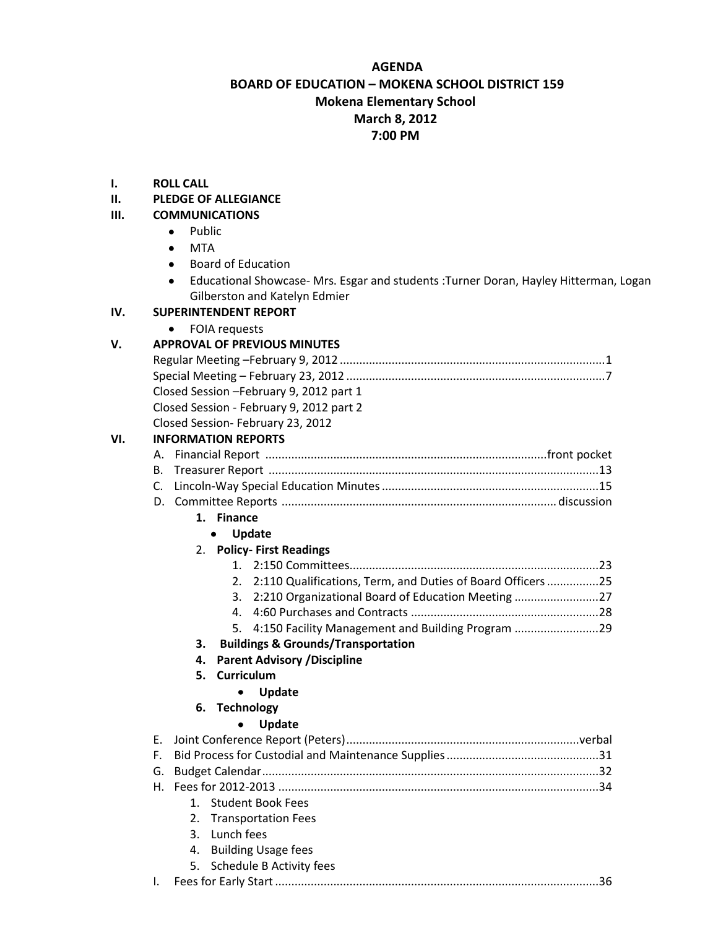#### **AGENDA**

## **BOARD OF EDUCATION – MOKENA SCHOOL DISTRICT 159 Mokena Elementary School March 8, 2012 7:00 PM**

**I. ROLL CALL**

#### **II. PLEDGE OF ALLEGIANCE**

#### **III. COMMUNICATIONS**

- Public  $\bullet$
- **MTA**
- Board of Education  $\bullet$
- $\bullet$ Educational Showcase- Mrs. Esgar and students :Turner Doran, Hayley Hitterman, Logan Gilberston and Katelyn Edmier

### **IV. SUPERINTENDENT REPORT**

 $\bullet$ FOIA requests

### **V. APPROVAL OF PREVIOUS MINUTES**

|     | Closed Session - February 9, 2012 part 1 |  |
|-----|------------------------------------------|--|
|     | Closed Session - February 9, 2012 part 2 |  |
|     | Closed Session-February 23, 2012         |  |
| VI. | <b>INFORMATION REPORTS</b>               |  |
|     |                                          |  |

## A. Financial Report .......................................................................................front pocket B. Treasurer Report ......................................................................................................13 C. Lincoln-Way Special Education Minutes...................................................................15

- D. Committee Reports ..................................................................................... discussion
	- **1. Finance**
		- **Update**

## 2. **Policy- First Readings**

- 1. 2:150 Committees.............................................................................23
- 2. 2:110 Qualifications, Term, and Duties of Board Officers................25
- 3. 2:210 Organizational Board of Education Meeting ..........................27
- 4. 4:60 Purchases and Contracts ..........................................................28 5. 4:150 Facility Management and Building Program ..........................29

# **3. Buildings & Grounds/Transportation**

- **4. Parent Advisory /Discipline**
- **5. Curriculum**

## **Update**

**6. Technology**

## **Update**

|  | 1. Student Book Fees   |  |  |  |  |
|--|------------------------|--|--|--|--|
|  | 2. Transportation Fees |  |  |  |  |
|  | 3. Lunch fees          |  |  |  |  |

- 4. Building Usage fees
- 5. Schedule B Activity fees
- I. Fees for Early Start....................................................................................................36